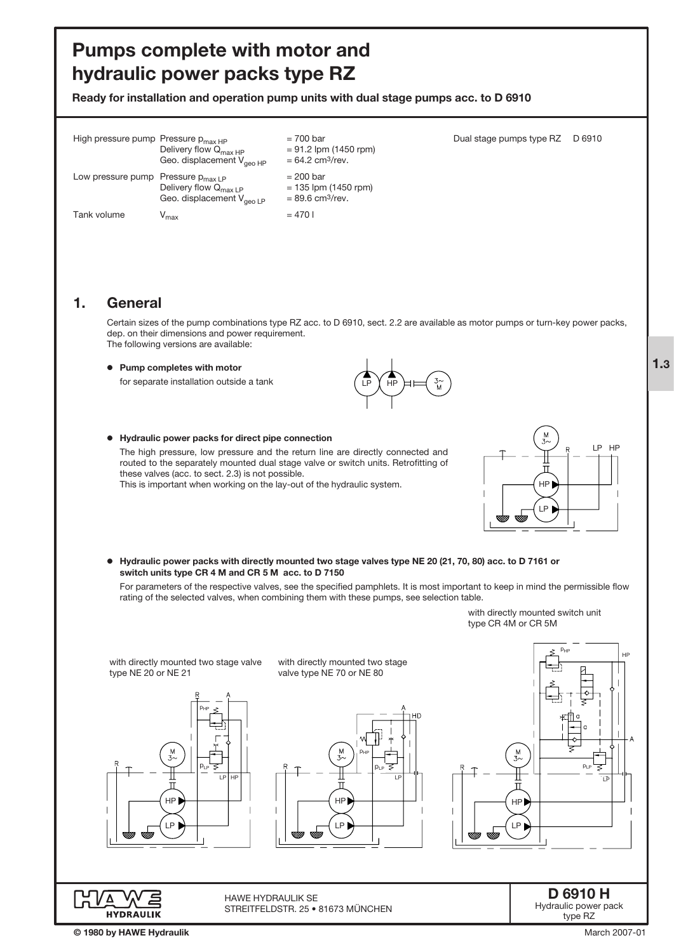# Pumps complete with motor and hydraulic power packs type RZ

Ready for installation and operation pump units with dual stage pumps acc. to D 6910

| High pressure pump Pressure $p_{max HP}$ | Delivery flow $Q_{\text{max HP}}$<br>Geo. displacement $V_{\text{qeeO HP}}$ | $= 700$ bar<br>$= 91.2$ lpm (1450 rpm)<br>$= 64.2$ cm <sup>3</sup> /rev. | Dual stage pumps type RZ | D 6910 |
|------------------------------------------|-----------------------------------------------------------------------------|--------------------------------------------------------------------------|--------------------------|--------|
| Low pressure pump Pressure $p_{max1P}$   | Delivery flow $Q_{\text{max LP}}$<br>Geo. displacement $V_{\text{geo LP}}$  | $= 200$ bar<br>$= 135$ lpm (1450 rpm)<br>$= 89.6$ cm <sup>3</sup> /rev.  |                          |        |
| Tank volume                              | $\mathsf{v}_{\mathsf{max}}$                                                 | $= 4701$                                                                 |                          |        |

# 1. General

Certain sizes of the pump combinations type RZ acc. to D 6910, sect. 2.2 are available as motor pumps or turn-key power packs, dep. on their dimensions and power requirement. The following versions are available:

#### o Pump completes with motor

for separate installation outside a tank

o Hydraulic power packs for direct pipe connection

these valves (acc. to sect. 2.3) is not possible.

The high pressure, low pressure and the return line are directly connected and routed to the separately mounted dual stage valve or switch units. Retrofitting of

This is important when working on the lay-out of the hydraulic system.





o Hydraulic power packs with directly mounted two stage valves type NE 20 (21, 70, 80) acc. to D 7161 or switch units type CR 4 M and CR 5 M acc. to D 7150

For parameters of the respective valves, see the specified pamphlets. It is most important to keep in mind the permissible flow rating of the selected valves, when combining them with these pumps, see selection table.



1.3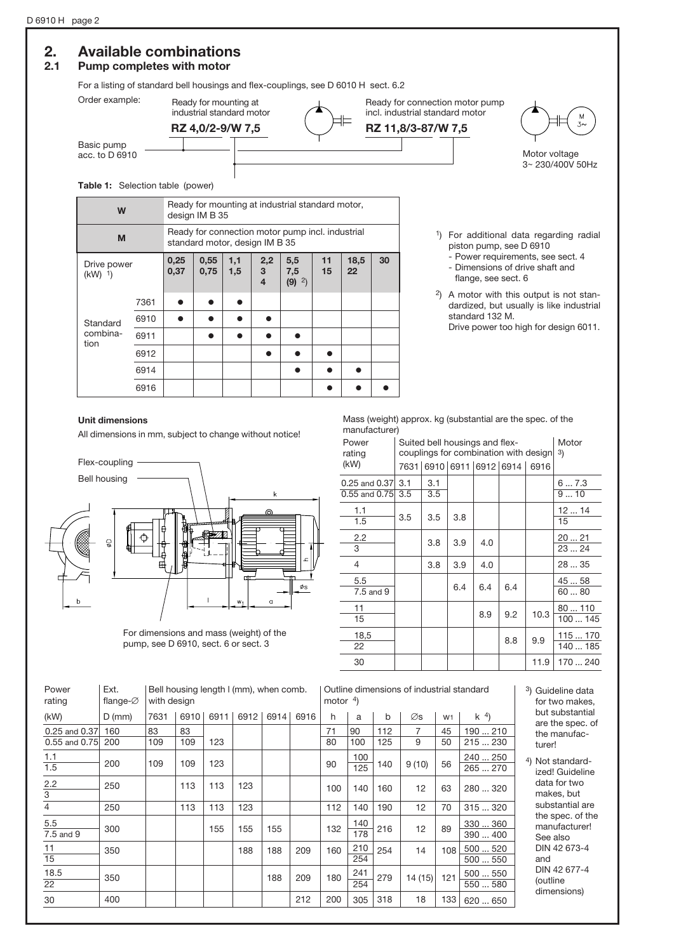# 2. Available combinations

# 2.1 Pump completes with motor

For a listing of standard bell housings and flex-couplings, see D 6010 H sect. 6.2



#### Table 1: Selection table (power)

| W                                    |      | Ready for mounting at industrial standard motor,<br>design IM B 35 |                                                                                    |            |                                     |                                    |          |            |    |  |  |  |
|--------------------------------------|------|--------------------------------------------------------------------|------------------------------------------------------------------------------------|------------|-------------------------------------|------------------------------------|----------|------------|----|--|--|--|
| M                                    |      |                                                                    | Ready for connection motor pump incl. industrial<br>standard motor, design IM B 35 |            |                                     |                                    |          |            |    |  |  |  |
| Drive power<br>$(kW)$ <sup>1</sup> ) |      | 0,25<br>0,37                                                       | 0,55<br>0,75                                                                       | 1,1<br>1,5 | 2,2<br>3<br>$\overline{\mathbf{4}}$ | 5,5<br>7,5<br>$(9)$ <sup>2</sup> ) | 11<br>15 | 18,5<br>22 | 30 |  |  |  |
|                                      | 7361 |                                                                    |                                                                                    |            |                                     |                                    |          |            |    |  |  |  |
| Standard                             | 6910 |                                                                    |                                                                                    |            |                                     |                                    |          |            |    |  |  |  |
| combina-<br>tion                     | 6911 |                                                                    |                                                                                    |            |                                     |                                    |          |            |    |  |  |  |
|                                      | 6912 |                                                                    |                                                                                    |            |                                     |                                    |          |            |    |  |  |  |
|                                      | 6914 |                                                                    |                                                                                    |            |                                     |                                    |          |            |    |  |  |  |
|                                      | 6916 |                                                                    |                                                                                    |            |                                     |                                    |          |            |    |  |  |  |

- 1) For additional data regarding radial piston pump, see D 6910
	- Power requirements, see sect. 4 - Dimensions of drive shaft and
- flange, see sect. 6 2) A motor with this output is not standardized, but usually is like industrial standard 132 M.
	- Drive power too high for design 6011.

#### Unit dimensions

All dimensions in mm, subject to change without notice!



For dimensions and mass (weight) of the pump, see D 6910, sect. 6 or sect. 3

Mass (weight) approx. kg (substantial are the spec. of the manufacturer)

| Power<br>rating                |            | Suited bell housings and flex- | couplings for combination with design | Motor<br>3) |                          |      |                      |
|--------------------------------|------------|--------------------------------|---------------------------------------|-------------|--------------------------|------|----------------------|
| (kW)                           |            |                                |                                       |             | 7631 6910 6911 6912 6914 | 6916 |                      |
| 0.25 and 0.37<br>0.55 and 0.75 | 3.1<br>3.5 | 3.1<br>3.5                     |                                       |             |                          |      | 67.3<br>910          |
| 1.1<br>1.5                     | 3.5        | 3.5                            | 3.8                                   |             |                          |      | 1214<br>15           |
| $2.2\phantom{0}$<br>3          |            | 3.8                            | 3.9                                   | 4.0         |                          |      | 2021<br>23  24       |
| 4                              |            | 3.8                            | 3.9                                   | 4.0         |                          |      | 28  35               |
| 5.5<br>7.5 and 9               |            |                                | 6.4                                   | 6.4         | 6.4                      |      | 45  58<br>6080       |
| 11<br>15                       |            |                                |                                       | 8.9         | 9.2                      | 10.3 | 80110<br>100  145    |
| 18,5<br>22                     |            |                                |                                       |             | 8.8                      | 9.9  | 115  170<br>140  185 |
| 30                             |            |                                |                                       |             |                          | 11.9 | 170  240             |

| Power<br>rating         | Ext.<br>flange- $\varnothing$ |      | Bell housing length I (mm), when comb.<br>with design |      |      |      |      |     | Outline dimensions of industrial standard<br>motor $4$ ) |     |        |                |                      | 3              |
|-------------------------|-------------------------------|------|-------------------------------------------------------|------|------|------|------|-----|----------------------------------------------------------|-----|--------|----------------|----------------------|----------------|
| (kW)                    | $D$ (mm)                      | 7631 | 6910                                                  | 6911 | 6912 | 6914 | 6916 | h   | a                                                        | b   | Øs     | W <sub>1</sub> | $k^{4}$              |                |
| 0.25 and 0.37           | 160                           | 83   | 83                                                    |      |      |      |      | 71  | 90                                                       | 112 | 7      | 45             | 190  210             |                |
| 0.55 and 0.75           | 200                           | 109  | 109                                                   | 123  |      |      |      | 80  | 100                                                      | 125 | 9      | 50             | 215  230             |                |
| 1.1<br>$\overline{1.5}$ | 200                           | 109  | 109                                                   | 123  |      |      |      | 90  | 100<br>125                                               | 140 | 9(10)  | 56             | 240  250<br>265270   | $\overline{4}$ |
| 2.2<br>$\overline{3}$   | 250                           |      | 113                                                   | 113  | 123  |      |      | 100 | 140                                                      | 160 | 12     | 63             | 280  320             |                |
| $\overline{4}$          | 250                           |      | 113                                                   | 113  | 123  |      |      | 112 | 140                                                      | 190 | 12     | 70             | 315  320             |                |
| 5.5<br>7.5 and 9        | 300                           |      |                                                       | 155  | 155  | 155  |      | 132 | 140<br>178                                               | 216 | 12     | 89             | 330  360<br>390  400 |                |
| 11<br>15                | 350                           |      |                                                       |      | 188  | 188  | 209  | 160 | 210<br>254                                               | 254 | 14     | 108            | 500  520<br>500  550 |                |
| 18.5<br>$\overline{22}$ | 350                           |      |                                                       |      |      | 188  | 209  | 180 | 241<br>254                                               | 279 | 14(15) | 121            | 500  550<br>550  580 |                |
| 30                      | 400                           |      |                                                       |      |      |      | 212  | 200 | 305                                                      | 318 | 18     | 133            | 620  650             |                |

- 3) Guideline data for two makes, but substantial are the spec. of the manufacturer!
- 4) Not standardized! Guideline data for two makes, but substantial are the spec. of the manufacturer! See also DIN 42 673-4 and DIN 42 677-4 (outline dimensions)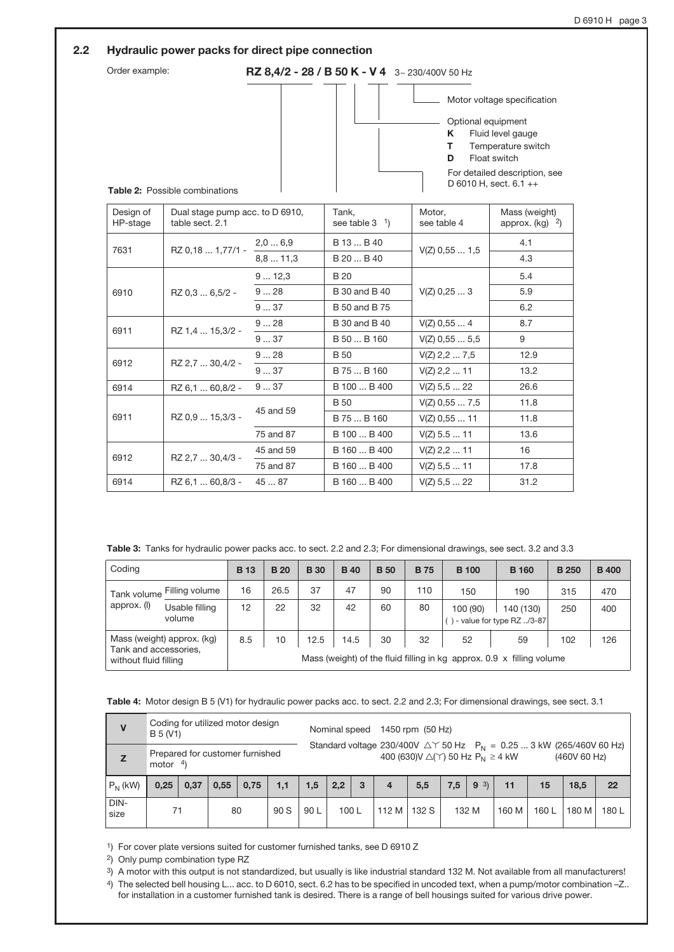|                       | Hydraulic power packs for direct pipe connection   |           |                                                |                                   |                                                                                                                                                   |
|-----------------------|----------------------------------------------------|-----------|------------------------------------------------|-----------------------------------|---------------------------------------------------------------------------------------------------------------------------------------------------|
| Order example:        |                                                    |           | RZ 8,4/2 - 28 / B 50 K - V 4 3~ 230/400V 50 Hz |                                   |                                                                                                                                                   |
|                       | Table 2: Possible combinations                     |           |                                                | Optional equipment<br>Κ<br>т<br>D | Motor voltage specification<br>Fluid level gauge<br>Temperature switch<br>Float switch<br>For detailed description, see<br>D 6010 H, sect. 6.1 ++ |
| Design of<br>HP-stage | Dual stage pump acc. to D 6910,<br>table sect. 2.1 |           | Tank,<br>see table $3-1$                       | Motor,<br>see table 4             | Mass (weight)<br>approx. $(kq)$ <sup>2</sup> )                                                                                                    |
| 7631                  | RZ 0,18  1,77/1 -                                  | 2,06,9    | B 13  B 40                                     | $V(Z)$ 0.55  1.5                  | 4.1                                                                                                                                               |
|                       |                                                    | 8,811,3   | B 20  B 40                                     |                                   | 4.3                                                                                                                                               |
|                       |                                                    | 912,3     | <b>B</b> 20                                    |                                   | 5.4                                                                                                                                               |
| 6910                  | RZ 0.3  6.5/2 -                                    | 928       | <b>B</b> 30 and <b>B</b> 40                    | $V(Z)$ 0.25 $\dots$ 3             | 5.9                                                                                                                                               |
|                       |                                                    | 937       | <b>B</b> 50 and <b>B</b> 75                    |                                   | 6.2                                                                                                                                               |
| 6911                  | RZ 1,4  15,3/2 -                                   | 928       | <b>B</b> 30 and <b>B</b> 40                    | $V(Z)$ 0.55 $\dots$ 4             | 8.7                                                                                                                                               |
|                       |                                                    | 937       | B 50  B 160                                    | $V(Z)$ 0,55  5,5                  | 9                                                                                                                                                 |
| 6912                  | RZ 2.7  30,4/2 -                                   | 928       | <b>B</b> 50                                    | $V(Z)$ 2,2  7,5                   | 12.9                                                                                                                                              |
|                       |                                                    | 937       | B 75  B 160                                    | $V(Z)$ 2,2  11                    | 13.2                                                                                                                                              |
| 6914                  | RZ 6.1  60,8/2 -                                   | 937       | B 100  B 400                                   | $V(Z)$ 5,5  22                    | 26.6                                                                                                                                              |
|                       |                                                    |           | <b>B</b> 50                                    | $V(Z)$ 0,55  7,5                  | 11.8                                                                                                                                              |
| 6911                  | RZ 0.9  15,3/3 -                                   | 45 and 59 | B 75  B 160                                    | $V(Z)$ 0,55  11                   | 11.8                                                                                                                                              |
|                       |                                                    | 75 and 87 | B 100  B 400                                   | $V(Z)$ 5.5  11                    | 13.6                                                                                                                                              |

Table 3: Tanks for hydraulic power packs acc. to sect. 2.2 and 2.3; For dimensional drawings, see sect. 3.2 and 3.3

| Coding                                                                       |    | <b>B</b> 13 | <b>B</b> 20 | <b>B</b> 30 | <b>B</b> 40 | <b>B</b> 50 | <b>B</b> 75 | <b>B</b> 100                                                                | <b>B</b> 160                                | <b>B</b> 250 | <b>B</b> 400 |
|------------------------------------------------------------------------------|----|-------------|-------------|-------------|-------------|-------------|-------------|-----------------------------------------------------------------------------|---------------------------------------------|--------------|--------------|
| Filling volume<br>Tank volume<br>approx. (I)<br>Usable filling<br>volume     | 16 | 26.5        | 37          | 47          | 90          | 110         | 150         | 190                                                                         | 315                                         | 470          |              |
|                                                                              |    | 12          | 22          | 32          | 42          | 60          | 80          | 100 (90)                                                                    | 140 (130)<br>) - value for type RZ $./3-87$ | 250          | 400          |
| Mass (weight) approx. (kg)<br>Tank and accessories.<br>without fluid filling |    | 8.5         | 10          | 12.5        | 14.5        | 30          | 32          | 52<br>Mass (weight) of the fluid filling in kg approx. 0.9 x filling volume | 59                                          | 102          | 126          |

B 160 ... B 400 B 160 ... B 400 B 160 ... B 400 V(Z) 2,2 ... 11 V(Z) 5,5 ... 11 V(Z) 5,5 ... 22

16 17.8 31.2

Table 4: Motor design B 5 (V1) for hydraulic power packs acc. to sect. 2.2 and 2.3; For dimensional drawings, see sect. 3.1

| V            | B 5 (V1)                                       | Coding for utilized motor design |      |      |      |      | Nominal speed |   |                | 1450 rpm (50 Hz)                                            |     |         |       |                                                                                  |              |       |
|--------------|------------------------------------------------|----------------------------------|------|------|------|------|---------------|---|----------------|-------------------------------------------------------------|-----|---------|-------|----------------------------------------------------------------------------------|--------------|-------|
| Z            | Prepared for customer furnished<br>motor $4$ ) |                                  |      |      |      |      |               |   |                | 400 (630) $V \triangle(Y)$ 50 Hz P <sub>N</sub> $\geq 4$ kW |     |         |       | Standard voltage 230/400V $\triangle$ Y 50 Hz $P_N = 0.25$ 3 kW (265/460V 60 Hz) | (460V 60 Hz) |       |
| $P_N$ (kW)   | 0.25                                           | 0,37                             | 0,55 | 0,75 | 1,1  | 1,5  | 2,2           | 3 | $\overline{4}$ | 5,5                                                         | 7.5 | 3)<br>9 | 11    | 15                                                                               | 18,5         | 22    |
| DIN-<br>size | 71                                             |                                  | 80   |      | 90 S | 90 L | 100L          |   | 112 M          | 132 S                                                       |     | 132 M   | 160 M | 160 L                                                                            | 180 M        | 180 L |

1) For cover plate versions suited for customer furnished tanks, see D 6910 Z

2) Only pump combination type RZ

6912

RZ 2,7 ... 30,4/3 -

45 and 59 75 and 87 45 ... 87

RZ 6,1 ... 60,8/3 -

6914

3) A motor with this output is not standardized, but usually is like industrial standard 132 M. Not available from all manufacturers!

4) The selected bell housing L... acc. to D 6010, sect. 6.2 has to be specified in uncoded text, when a pump/motor combination –Z.. for installation in a customer furnished tank is desired. There is a range of bell housings suited for various drive power.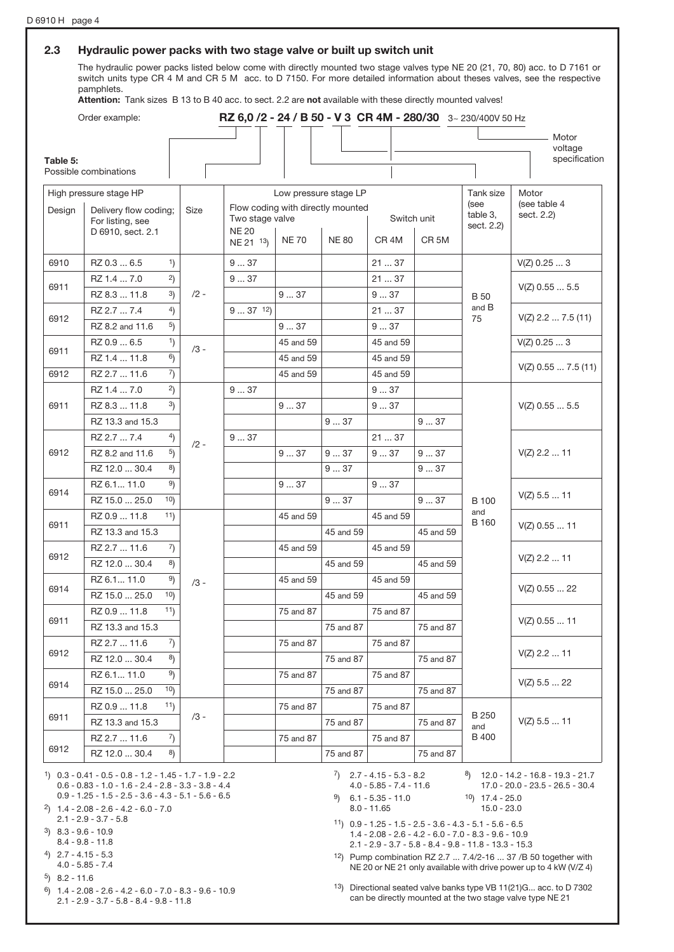#### 2.3 Hydraulic power packs with two stage valve or built up switch unit

The hydraulic power packs listed below come with directly mounted two stage valves type NE 20 (21, 70, 80) acc. to D 7161 or switch units type CR 4 M and CR 5 M acc. to D 7150. For more detailed information about theses valves, see the respective pamphlets.

Attention: Tank sizes B 13 to B 40 acc. to sect. 2.2 are not available with these directly mounted valves!

|          | Order example:           |        | RZ 6,0 /2 - 24 / B 50 - V 3 CR 4M - 280/30 3~ 230/400V 50 Hz |                       |              |                  |                  |                     |                            |
|----------|--------------------------|--------|--------------------------------------------------------------|-----------------------|--------------|------------------|------------------|---------------------|----------------------------|
|          |                          |        |                                                              |                       |              |                  |                  |                     | Motor                      |
| Table 5: |                          |        |                                                              |                       |              |                  |                  |                     | voltage<br>specification   |
|          | Possible combinations    |        |                                                              |                       |              |                  |                  |                     |                            |
|          | High pressure stage HP   |        |                                                              | Low pressure stage LP |              |                  |                  | Tank size           | Motor                      |
| Design   | Delivery flow coding;    | Size   | Flow coding with directly mounted                            |                       |              |                  |                  | (see<br>table 3,    | (see table 4<br>sect. 2.2) |
|          | For listing, see         |        | Two stage valve<br>Switch unit<br><b>NE 20</b>               |                       |              | sect. 2.2)       |                  |                     |                            |
|          | D 6910, sect. 2.1        |        | NE 21 13)                                                    | <b>NE70</b>           | <b>NE 80</b> | CR <sub>4M</sub> | CR <sub>5M</sub> |                     |                            |
| 6910     | RZ 0.3  6.5<br>1)        |        | 937                                                          |                       |              | 2137             |                  |                     | $V(Z)$ 0.25  3             |
|          | 2)<br>RZ 1.4  7.0        |        | 937                                                          |                       |              | 2137             |                  |                     |                            |
| 6911     | 3)<br>RZ 8.3  11.8       | $/2 -$ |                                                              | 937                   |              | 937              |                  | <b>B50</b>          | $V(Z)$ 0.55  5.5           |
|          | $^{4}$<br>RZ 2.7  7.4    |        | $937$ 12)                                                    |                       |              | 2137             |                  | and B               | $V(Z)$ 2.2  7.5 (11)       |
| 6912     | 5)<br>RZ 8.2 and 11.6    |        |                                                              | 937                   |              | 937              |                  | 75                  |                            |
|          | 1)<br>RZ 0.9  6.5        | $/3 -$ |                                                              | 45 and 59             |              | 45 and 59        |                  |                     | $V(Z)$ 0.25  3             |
| 6911     | 6)<br>RZ 1.4  11.8       |        |                                                              | 45 and 59             |              | 45 and 59        |                  |                     |                            |
| 6912     | 7)<br>RZ 2.7  11.6       |        |                                                              | 45 and 59             |              | 45 and 59        |                  |                     | $V(Z)$ 0.55  7.5 (11)      |
|          | 2)<br>RZ 1.4  7.0        |        | 937                                                          |                       |              | 937              |                  |                     |                            |
| 6911     | 3)<br>RZ 8.3  11.8       |        |                                                              | 937                   |              | 937              |                  |                     | $V(Z)$ 0.55  5.5           |
|          | RZ 13.3 and 15.3         |        |                                                              |                       | 937          |                  | 937              |                     |                            |
|          | RZ 2.7  7.4<br>4)        | $/2 -$ | 937                                                          |                       |              | 21  37           |                  |                     |                            |
| 6912     | 5)<br>RZ 8.2 and 11.6    |        |                                                              | 937                   | 937          | 937              | 937              |                     | $V(Z)$ 2.2  11             |
|          | 8)<br>RZ 12.0  30.4      |        |                                                              |                       | 937          |                  | 937              |                     |                            |
| 6914     | 9)<br>RZ 6.1 11.0        |        |                                                              | 937                   |              | 937              |                  |                     |                            |
|          | 10<br>RZ 15.0  25.0      |        |                                                              |                       | 937          |                  | 937              | <b>B</b> 100        | $V(Z)$ 5.5  11             |
|          | 11)<br>RZ 0.9  11.8      |        |                                                              | 45 and 59             |              | 45 and 59        |                  | and<br><b>B</b> 160 |                            |
| 6911     | RZ 13.3 and 15.3         |        |                                                              |                       | 45 and 59    |                  | 45 and 59        |                     | $V(Z)$ 0.55  11            |
|          | 7)<br>RZ 2.7  11.6       |        |                                                              | 45 and 59             |              | 45 and 59        |                  |                     |                            |
| 6912     | 8)<br>RZ 12.0  30.4      |        |                                                              |                       | 45 and 59    |                  | 45 and 59        |                     | $V(Z)$ 2.2  11             |
|          | 9)<br>RZ 6.1 11.0        | $/3 -$ |                                                              | 45 and 59             |              | 45 and 59        |                  |                     |                            |
| 6914     | 10<br>RZ 15.0  25.0      |        |                                                              |                       | 45 and 59    |                  | 45 and 59        |                     | $V(Z)$ 0.55  22            |
|          | 11)<br>RZ 0.9  11.8      |        |                                                              | 75 and 87             |              | 75 and 87        |                  |                     |                            |
| 6911     | RZ 13.3 and 15.3         |        |                                                              |                       | 75 and 87    |                  | 75 and 87        |                     | $V(Z)$ 0.55  11            |
|          | RZ 2.7  11.6<br>7)       |        |                                                              | 75 and 87             |              | 75 and 87        |                  |                     |                            |
| 6912     | $^{8)}$<br>RZ 12.0  30.4 |        |                                                              |                       | 75 and 87    |                  | 75 and 87        |                     | $V(Z)$ 2.2 $\dots$ 11      |
|          | 9)<br>RZ 6.1 11.0        |        |                                                              | 75 and 87             |              | 75 and 87        |                  |                     |                            |
| 6914     | 10<br>RZ 15.0  25.0      |        |                                                              |                       | 75 and 87    |                  | 75 and 87        |                     | $V(Z)$ 5.5  22             |
|          | RZ 0.9  11.8<br>11)      |        |                                                              | 75 and 87             |              | 75 and 87        |                  |                     |                            |
| 6911     | RZ 13.3 and 15.3         | /3 -   |                                                              |                       | 75 and 87    |                  | 75 and 87        | <b>B250</b><br>and  | $V(Z)$ 5.5  11             |
|          | RZ 2.7  11.6<br>7)       |        |                                                              | 75 and 87             |              | 75 and 87        |                  | B 400               |                            |
| 6912     | $^{8}$<br>RZ 12.0  30.4  |        |                                                              |                       | 75 and 87    |                  | 75 and 87        |                     |                            |

0.6 - 0.83 - 1.0 - 1.6 - 2.4 - 2.8 - 3.3 - 3.8 - 4.4 0.9 - 1.25 - 1.5 - 2.5 - 3.6 - 4.3 - 5.1 - 5.6 - 6.5

2) 1.4 - 2.08 - 2.6 - 4.2 - 6.0 - 7.0

- 2.1 2.9 3.7 5.8
- 3) 8.3 9.6 10.9 8.4 - 9.8 - 11.8
- 4) 2.7 4.15 5.3
- 4.0 5.85 7.4
- 5) 8.2 11.6
- 6) 1.4 2.08 2.6 4.2 6.0 7.0 8.3 9.6 10.9 2.1 - 2.9 - 3.7 - 5.8 - 8.4 - 9.8 - 11.8

4.0 - 5.85 - 7.4 - 11.6  $9$  6.1 - 5.35 - 11.0

8.0 - 11.65

17.0 - 20.0 - 23.5 - 26.5 - 30.4  $10$ ) 17.4 - 25.0 15.0 - 23.0

11) 0.9 - 1.25 - 1.5 - 2.5 - 3.6 - 4.3 - 5.1 - 5.6 - 6.5 1.4 - 2.08 - 2.6 - 4.2 - 6.0 - 7.0 - 8.3 - 9.6 - 10.9 2.1 - 2.9 - 3.7 - 5.8 - 8.4 - 9.8 - 11.8 - 13.3 - 15.3

12) Pump combination RZ 2.7 ... 7.4/2-16 ... 37 /B 50 together with NE 20 or NE 21 only available with drive power up to 4 kW (V/Z 4)

13) Directional seated valve banks type VB 11(21)G... acc. to D 7302 can be directly mounted at the two stage valve type NE 21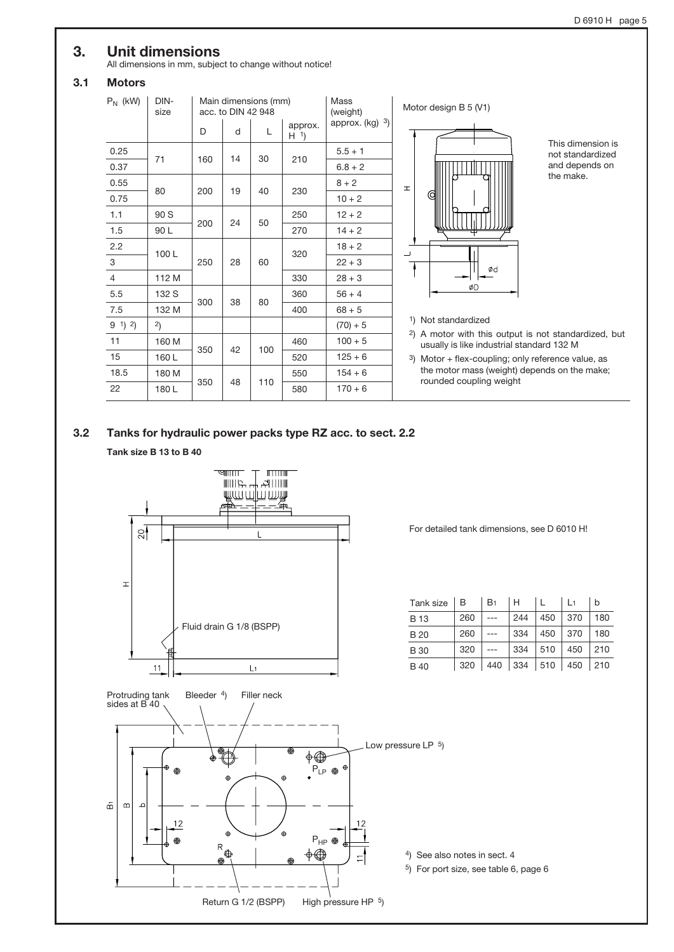# 3. Unit dimensions

All dimensions in mm, subject to change without notice!

# 3.1 Motors

| $P_N$ (kW) | DIN-<br>size |     | acc. to DIN 42 948 | Main dimensions (mm) |                           | Mass<br>(weight)  |
|------------|--------------|-----|--------------------|----------------------|---------------------------|-------------------|
|            |              | D   | d                  | L                    | approx.<br>H <sup>1</sup> | approx. $(kg)$ 3) |
| 0.25       | 71           | 160 | 14                 | 30                   | 210                       | $5.5 + 1$         |
| 0.37       |              |     |                    |                      |                           | $6.8 + 2$         |
| 0.55       |              |     |                    |                      |                           | $8 + 2$           |
| 0.75       | 80           | 200 | 19                 | 40                   | 230                       | $10 + 2$          |
| 1.1        | 90 S         |     |                    |                      | 250                       | $12 + 2$          |
| 1.5        | 90 L         | 200 | 24                 | 50                   | 270                       | $14 + 2$          |
| 2.2        | 100L         |     |                    |                      | 320                       | $18 + 2$          |
| 3          |              | 250 | 28                 | 60                   |                           | $22 + 3$          |
| 4          | 112 M        |     |                    |                      | 330                       | $28 + 3$          |
| 5.5        | 132 S        |     |                    |                      | 360                       | $56 + 4$          |
| 7.5        | 132 M        | 300 | 38                 | 80                   | 400                       | $68 + 5$          |
| $9^{1}$ 2) | 2)           |     |                    |                      |                           | $(70) + 5$        |
| 11         | 160 M        |     |                    |                      | 460                       | $100 + 5$         |
| 15         | 160L         | 350 | 42                 | 100                  | 520                       | $125 + 6$         |
| 18.5       | 180 M        |     |                    |                      | 550                       | $154 + 6$         |
| 22         | 180L         | 350 | 48                 | 110                  | 580                       | $170 + 6$         |



This dimension is not standardized and depends on the make.

- 1) Not standardized
- 2) A motor with this output is not standardized, but usually is like industrial standard 132 M
- 3) Motor + flex-coupling; only reference value, as the motor mass (weight) depends on the make; rounded coupling weight

## 3.2 Tanks for hydraulic power packs type RZ acc. to sect. 2.2

Tank size B 13 to B 40



For detailed tank dimensions, see D 6010 H!

| Tank size $ B $ |     | B <sub>1</sub> | H   |                 | $\vert$ 1 | b                                          |
|-----------------|-----|----------------|-----|-----------------|-----------|--------------------------------------------|
| <b>B</b> 13     | 260 |                | 244 | 450             | 370       | 180                                        |
| <b>B20</b>      | 260 |                | 334 | 450             | 370       | 180                                        |
| <b>B</b> 30     | 320 |                | 334 | $\vert$ 510     | 450       | 210                                        |
| <b>B</b> 40     | 320 |                |     | 440 334 510 450 |           | $\begin{array}{c} \boxed{210} \end{array}$ |

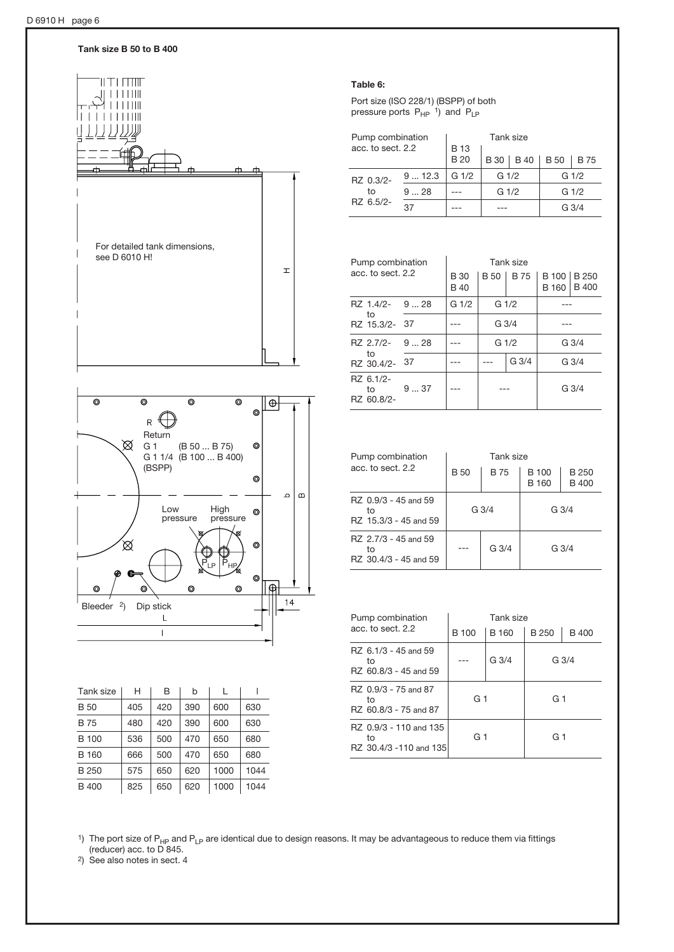Tank size B 50 to B 400



| Tank size    | н   | B   | b   | L    |      |
|--------------|-----|-----|-----|------|------|
| B 50         | 405 | 420 | 390 | 600  | 630  |
| B 75         | 480 | 420 | 390 | 600  | 630  |
| B 100        | 536 | 500 | 470 | 650  | 680  |
| B 160        | 666 | 500 | 470 | 650  | 680  |
| B 250        | 575 | 650 | 620 | 1000 | 1044 |
| <b>B</b> 400 | 825 | 650 | 620 | 1000 | 1044 |

#### Table 6:

Port size (ISO 228/1) (BSPP) of both pressure ports  $P_{HP}$ <sup>1</sup>) and  $P_{LP}$ 

| Pump combination             | Tank size   |                  |                  |             |                  |  |  |
|------------------------------|-------------|------------------|------------------|-------------|------------------|--|--|
| acc. to sect. 2.2            | <b>B</b> 13 |                  |                  |             |                  |  |  |
|                              |             | <b>B20</b>       | B 30             | <b>B</b> 75 |                  |  |  |
| RZ 0.3/2-<br>to<br>RZ 6.5/2- | 912.3       | G <sub>1/2</sub> | G <sub>1/2</sub> |             | G <sub>1/2</sub> |  |  |
|                              | $9^{9}$ 28  |                  | G <sub>1/2</sub> |             | G <sub>1/2</sub> |  |  |
|                              | 37          |                  |                  |             | G $3/4$          |  |  |

| Pump combination<br>acc. to sect. 2.2 |                                                           | Tank size                  |                  |                  |                                        |              |
|---------------------------------------|-----------------------------------------------------------|----------------------------|------------------|------------------|----------------------------------------|--------------|
|                                       |                                                           | <b>B</b> 30<br><b>B</b> 40 |                  |                  | B 50   B 75   B 100   B 250<br>B 160 I | <b>B</b> 400 |
|                                       | G <sub>1/2</sub><br>G <sub>1/2</sub><br>$RZ$ 1.4/2- 9  28 |                            |                  |                  |                                        |              |
| to<br>RZ 15.3/2- 37                   |                                                           |                            |                  | G <sub>3/4</sub> |                                        |              |
| RZ 2.7/2- 928                         |                                                           |                            | G <sub>1/2</sub> |                  | G <sub>3/4</sub>                       |              |
| to<br>RZ 30.4/2- 37                   |                                                           |                            |                  | G <sub>3/4</sub> | G <sub>3/4</sub>                       |              |
| RZ 6.1/2-<br>to<br>RZ 60.8/2-         | 937                                                       |                            |                  |                  | G 3/4                                  |              |

| Pump combination                                    | Tank size  |             |                              |                       |  |
|-----------------------------------------------------|------------|-------------|------------------------------|-----------------------|--|
| acc. to sect. 2.2                                   | <b>B50</b> | <b>B</b> 75 | <b>B</b> 100<br><b>B</b> 160 | B 250<br><b>B</b> 400 |  |
| RZ 0.9/3 - 45 and 59<br>tο<br>RZ 15.3/3 - 45 and 59 | $G_3/4$    |             | $G_3/4$                      |                       |  |
| RZ 2.7/3 - 45 and 59<br>to<br>RZ 30.4/3 - 45 and 59 |            | G 3/4       | $G_3/4$                      |                       |  |

| Pump combination                                       | Tank size |                  |             |                  |  |
|--------------------------------------------------------|-----------|------------------|-------------|------------------|--|
| acc. to sect. 2.2                                      | B 100     | B 160            | <b>B250</b> | B 400            |  |
| RZ 6.1/3 - 45 and 59<br>to<br>RZ 60.8/3 - 45 and 59    |           | G <sub>3/4</sub> |             | G <sub>3/4</sub> |  |
| RZ 0.9/3 - 75 and 87<br>to<br>RZ 60.8/3 - 75 and 87    | G 1       |                  | G 1         |                  |  |
| RZ 0.9/3 - 110 and 135<br>to<br>RZ 30.4/3 -110 and 135 | G 1       |                  | G 1         |                  |  |

<sup>1</sup>) The port size of P<sub>HP</sub> and P<sub>LP</sub> are identical due to design reasons. It may be advantageous to reduce them via fittings (reducer) acc. to D 845.

2) See also notes in sect. 4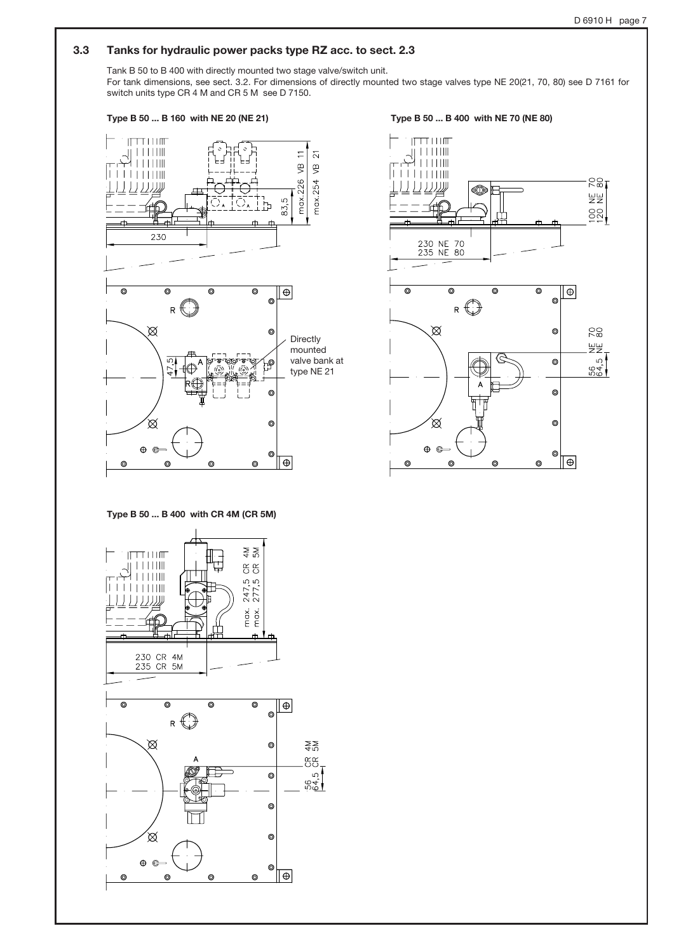## 3.3 Tanks for hydraulic power packs type RZ acc. to sect. 2.3

Tank B 50 to B 400 with directly mounted two stage valve/switch unit. For tank dimensions, see sect. 3.2. For dimensions of directly mounted two stage valves type NE 20(21, 70, 80) see D 7161 for switch units type CR 4 M and CR 5 M see D 7150.



Type B 50 ... B 400 with CR 4M (CR 5M)